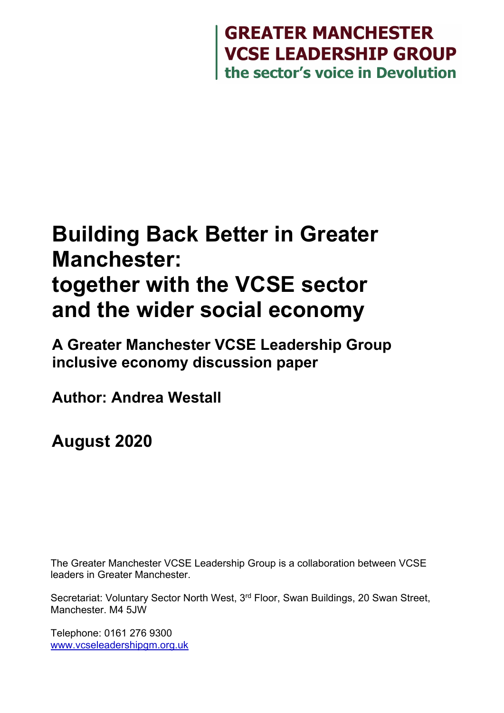# **GREATER MANCHESTER<br>VCSE LEADERSHIP GROUP<br>the sector's voice in Devolution**

# **Building Back Better in Greater Manchester: together with the VCSE sector and the wider social economy**

**A Greater Manchester VCSE Leadership Group inclusive economy discussion paper**

**Author: Andrea Westall**

**August 2020**

The Greater Manchester VCSE Leadership Group is a collaboration between VCSE leaders in Greater Manchester.

Secretariat: Voluntary Sector North West, 3rd Floor, Swan Buildings, 20 Swan Street, Manchester. M4 5JW

Telephone: 0161 276 9300 [www.vcseleadershipgm.org.uk](http://www.vcseleadershipgm.org.uk/)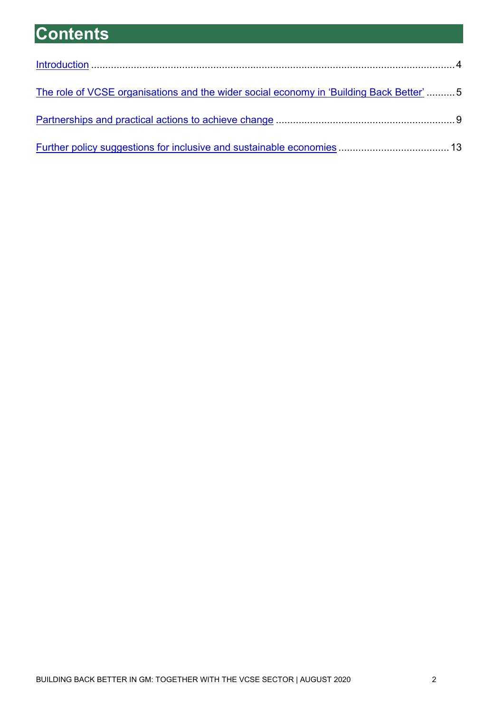# **Contents**

<span id="page-1-0"></span>

| The role of VCSE organisations and the wider social economy in 'Building Back Better'5 |  |
|----------------------------------------------------------------------------------------|--|
|                                                                                        |  |
|                                                                                        |  |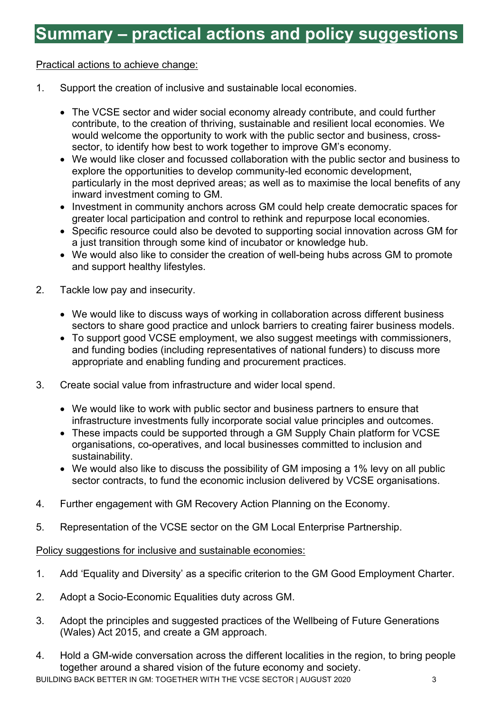# **Summary – practical actions and policy suggestions**

#### Practical actions to achieve change:

- 1. Support the creation of inclusive and sustainable local economies.
	- The VCSE sector and wider social economy already contribute, and could further contribute, to the creation of thriving, sustainable and resilient local economies. We would welcome the opportunity to work with the public sector and business, crosssector, to identify how best to work together to improve GM's economy.
	- We would like closer and focussed collaboration with the public sector and business to explore the opportunities to develop community-led economic development, particularly in the most deprived areas; as well as to maximise the local benefits of any inward investment coming to GM.
	- Investment in community anchors across GM could help create democratic spaces for greater local participation and control to rethink and repurpose local economies.
	- Specific resource could also be devoted to supporting social innovation across GM for a just transition through some kind of incubator or knowledge hub.
	- We would also like to consider the creation of well-being hubs across GM to promote and support healthy lifestyles.
- 2. Tackle low pay and insecurity.
	- We would like to discuss ways of working in collaboration across different business sectors to share good practice and unlock barriers to creating fairer business models.
	- To support good VCSE employment, we also suggest meetings with commissioners, and funding bodies (including representatives of national funders) to discuss more appropriate and enabling funding and procurement practices.
- 3. Create social value from infrastructure and wider local spend.
	- We would like to work with public sector and business partners to ensure that infrastructure investments fully incorporate social value principles and outcomes.
	- These impacts could be supported through a GM Supply Chain platform for VCSE organisations, co-operatives, and local businesses committed to inclusion and sustainability.
	- We would also like to discuss the possibility of GM imposing a 1% levy on all public sector contracts, to fund the economic inclusion delivered by VCSE organisations.
- 4. Further engagement with GM Recovery Action Planning on the Economy.
- 5. Representation of the VCSE sector on the GM Local Enterprise Partnership.

#### Policy suggestions for inclusive and sustainable economies:

- 1. Add 'Equality and Diversity' as a specific criterion to the GM Good Employment Charter.
- 2. Adopt a Socio-Economic Equalities duty across GM.
- 3. Adopt the principles and suggested practices of the Wellbeing of Future Generations (Wales) Act 2015, and create a GM approach.
- BUILDING BACK BETTER IN GM: TOGETHER WITH THE VCSE SECTOR | AUGUST 2020 3 4. Hold a GM-wide conversation across the different localities in the region, to bring people together around a shared vision of the future economy and society.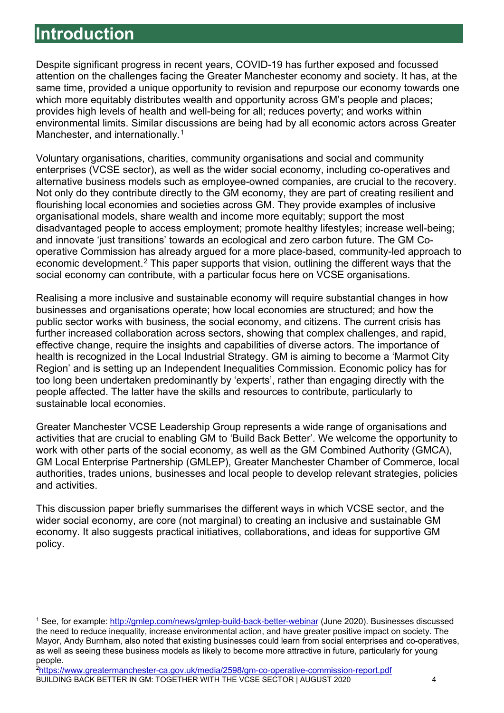## **Introduction**

Despite significant progress in recent years, COVID-19 has further exposed and focussed attention on the challenges facing the Greater Manchester economy and society. It has, at the same time, provided a unique opportunity to revision and repurpose our economy towards one which more equitably distributes wealth and opportunity across GM's people and places; provides high levels of health and well-being for all; reduces poverty; and works within environmental limits. Similar discussions are being had by all economic actors across Greater Manchester, and internationally.<sup>[1](#page-3-1)</sup>

Voluntary organisations, charities, community organisations and social and community enterprises (VCSE sector), as well as the wider social economy, including co-operatives and alternative business models such as employee-owned companies, are crucial to the recovery. Not only do they contribute directly to the GM economy, they are part of creating resilient and flourishing local economies and societies across GM. They provide examples of inclusive organisational models, share wealth and income more equitably; support the most disadvantaged people to access employment; promote healthy lifestyles; increase well-being; and innovate 'just transitions' towards an ecological and zero carbon future. The GM Cooperative Commission has already argued for a more place-based, community-led approach to economic development.<sup>[2](#page-3-2)</sup> This paper supports that vision, outlining the different ways that the social economy can contribute, with a particular focus here on VCSE organisations.

Realising a more inclusive and sustainable economy will require substantial changes in how businesses and organisations operate; how local economies are structured; and how the public sector works with business, the social economy, and citizens. The current crisis has further increased collaboration across sectors, showing that complex challenges, and rapid, effective change, require the insights and capabilities of diverse actors. The importance of health is recognized in the Local Industrial Strategy. GM is aiming to become a 'Marmot City Region' and is setting up an Independent Inequalities Commission. Economic policy has for too long been undertaken predominantly by 'experts', rather than engaging directly with the people affected. The latter have the skills and resources to contribute, particularly to sustainable local economies.

Greater Manchester VCSE Leadership Group represents a wide range of organisations and activities that are crucial to enabling GM to 'Build Back Better'. We welcome the opportunity to work with other parts of the social economy, as well as the GM Combined Authority (GMCA), GM Local Enterprise Partnership (GMLEP), Greater Manchester Chamber of Commerce, local authorities, trades unions, businesses and local people to develop relevant strategies, policies and activities.

This discussion paper briefly summarises the different ways in which VCSE sector, and the wider social economy, are core (not marginal) to creating an inclusive and sustainable GM economy. It also suggests practical initiatives, collaborations, and ideas for supportive GM policy.

<span id="page-3-1"></span><span id="page-3-0"></span><sup>&</sup>lt;sup>1</sup> See, for example:<http://gmlep.com/news/gmlep-build-back-better-webinar> (June 2020). Businesses discussed the need to reduce inequality, increase environmental action, and have greater positive impact on society. The Mayor, Andy Burnham, also noted that existing businesses could learn from social enterprises and co-operatives, as well as seeing these business models as likely to become more attractive in future, particularly for young people.

<span id="page-3-2"></span>BUILDING BACK BETTER IN GM: TOGETHER WITH THE VCSE SECTOR | AUGUST 2020 4 [2https://www.greatermanchester-ca.gov.uk/media/2598/gm-co-operative-commission-report.pdf](https://www.greatermanchester-ca.gov.uk/media/2598/gm-co-operative-commission-report.pdf)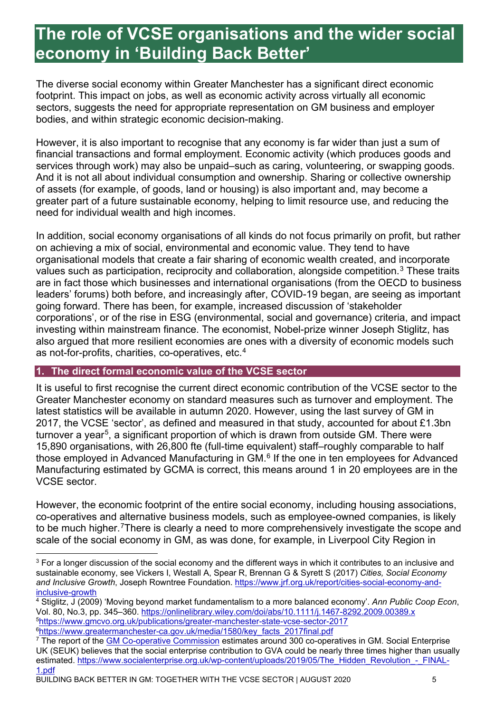## **The role of VCSE organisations and the wider social economy in 'Building Back Better'**

The diverse social economy within Greater Manchester has a significant direct economic footprint. This impact on jobs, as well as economic activity across virtually all economic sectors, suggests the need for appropriate representation on GM business and employer bodies, and within strategic economic decision-making.

However, it is also important to recognise that any economy is far wider than just a sum of financial transactions and formal employment. Economic activity (which produces goods and services through work) may also be unpaid–such as caring, volunteering, or swapping goods. And it is not all about individual consumption and ownership. Sharing or collective ownership of assets (for example, of goods, land or housing) is also important and, may become a greater part of a future sustainable economy, helping to limit resource use, and reducing the need for individual wealth and high incomes.

In addition, social economy organisations of all kinds do not focus primarily on profit, but rather on achieving a mix of social, environmental and economic value. They tend to have organisational models that create a fair sharing of economic wealth created, and incorporate values such as participation, reciprocity and collaboration, alongside competition.<sup>[3](#page-4-0)</sup> These traits are in fact those which businesses and international organisations (from the OECD to business leaders' forums) both before, and increasingly after, COVID-19 began, are seeing as important going forward. There has been, for example, increased discussion of 'stakeholder corporations', or of the rise in ESG (environmental, social and governance) criteria, and impact investing within mainstream finance. The economist, Nobel-prize winner Joseph Stiglitz, has also argued that more resilient economies are ones with a diversity of economic models such as not-for-profits, charities, co-operatives, etc.[4](#page-4-1)

#### **1. The direct formal economic value of the VCSE sector**

It is useful to first recognise the current direct economic contribution of the VCSE sector to the Greater Manchester economy on standard measures such as turnover and employment. The latest statistics will be available in autumn 2020. However, using the last survey of GM in 2017, the VCSE 'sector', as defined and measured in that study, accounted for about £1.3bn turnover a vear<sup>[5](#page-4-2)</sup>, a significant proportion of which is drawn from outside GM. There were 15,890 organisations, with 26,800 fte (full-time equivalent) staff–roughly comparable to half those employed in Advanced Manufacturing in GM.<sup>[6](#page-4-3)</sup> If the one in ten employees for Advanced Manufacturing estimated by GCMA is correct, this means around 1 in 20 employees are in the VCSE sector.

However, the economic footprint of the entire social economy, including housing associations, co-operatives and alternative business models, such as employee-owned companies, is likely to be much higher.<sup>7</sup>There is clearly a need to more comprehensively investigate the scope and scale of the social economy in GM, as was done, for example, in Liverpool City Region in

<span id="page-4-1"></span><sup>4</sup> Stiglitz, J (2009) 'Moving beyond market fundamentalism to a more balanced economy'. *Ann Public Coop Econ*, Vol. 80, No.3, pp. 345–360.<https://onlinelibrary.wiley.com/doi/abs/10.1111/j.1467-8292.2009.00389.x> [5https://www.gmcvo.org.uk/publications/greater-manchester-state-vcse-sector-2017](https://www.gmcvo.org.uk/publications/greater-manchester-state-vcse-sector-2017) <sup>6</sup>https://www.greatermanchester-ca.gov.uk/media/1580/key\_facts\_2017final.pdf

<span id="page-4-0"></span> $3$  For a longer discussion of the social economy and the different ways in which it contributes to an inclusive and sustainable economy, see Vickers I, Westall A, Spear R, Brennan G & Syrett S (2017) *Cities, Social Economy and Inclusive Growth*, Joseph Rowntree Foundation. [https://www.jrf.org.uk/report/cities-social-economy-and](https://www.jrf.org.uk/report/cities-social-economy-and-inclusive-growth)[inclusive-growth](https://www.jrf.org.uk/report/cities-social-economy-and-inclusive-growth)

<span id="page-4-4"></span><span id="page-4-3"></span><span id="page-4-2"></span><sup>&</sup>lt;sup>7</sup> The report of the [GM Co-operative Commission](https://gmcommission.coop/) estimates around 300 co-operatives in GM. Social Enterprise UK (SEUK) believes that the social enterprise contribution to GVA could be nearly three times higher than usually estimated. [https://www.socialenterprise.org.uk/wp-content/uploads/2019/05/The\\_Hidden\\_Revolution\\_-\\_FINAL-](https://www.socialenterprise.org.uk/wp-content/uploads/2019/05/The_Hidden_Revolution_-_FINAL-1.pdf)[1.pdf](https://www.socialenterprise.org.uk/wp-content/uploads/2019/05/The_Hidden_Revolution_-_FINAL-1.pdf)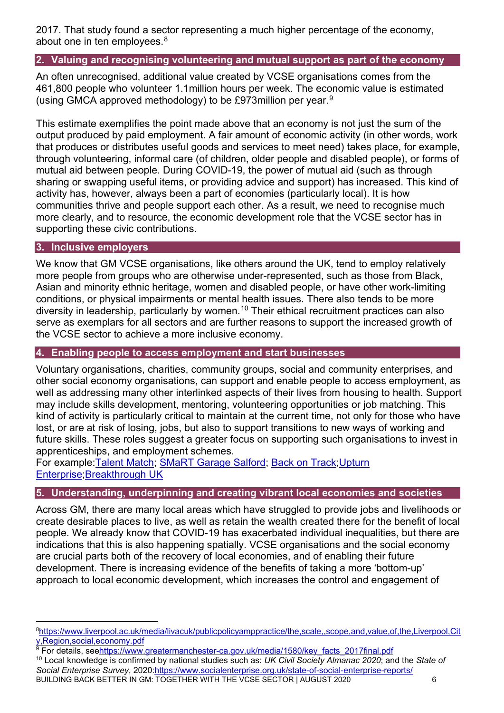2017. That study found a sector representing a much higher percentage of the economy, about one in ten employees.<sup>[8](#page-5-0)</sup>

#### **2. Valuing and recognising volunteering and mutual support as part of the economy**

An often unrecognised, additional value created by VCSE organisations comes from the 461,800 people who volunteer 1.1million hours per week. The economic value is estimated (using GMCA approved methodology) to be £973million per year.[9](#page-5-1)

This estimate exemplifies the point made above that an economy is not just the sum of the output produced by paid employment. A fair amount of economic activity (in other words, work that produces or distributes useful goods and services to meet need) takes place, for example, through volunteering, informal care (of children, older people and disabled people), or forms of mutual aid between people. During COVID-19, the power of mutual aid (such as through sharing or swapping useful items, or providing advice and support) has increased. This kind of activity has, however, always been a part of economies (particularly local). It is how communities thrive and people support each other. As a result, we need to recognise much more clearly, and to resource, the economic development role that the VCSE sector has in supporting these civic contributions.

#### **3. Inclusive employers**

We know that GM VCSE organisations, like others around the UK, tend to employ relatively more people from groups who are otherwise under-represented, such as those from Black, Asian and minority ethnic heritage, women and disabled people, or have other work-limiting conditions, or physical impairments or mental health issues. There also tends to be more diversity in leadership, particularly by women.<sup>[10](#page-5-2)</sup> Their ethical recruitment practices can also serve as exemplars for all sectors and are further reasons to support the increased growth of the VCSE sector to achieve a more inclusive economy.

#### **4. Enabling people to access employment and start businesses**

Voluntary organisations, charities, community groups, social and community enterprises, and other social economy organisations, can support and enable people to access employment, as well as addressing many other interlinked aspects of their lives from housing to health. Support may include skills development, mentoring, volunteering opportunities or job matching. This kind of activity is particularly critical to maintain at the current time, not only for those who have lost, or are at risk of losing, jobs, but also to support transitions to new ways of working and future skills. These roles suggest a greater focus on supporting such organisations to invest in apprenticeships, and employment schemes.

For example[:Talent](https://www.gmcvo.org.uk/talent-match) Match; [SMaRT Garage Salford;](http://firststeptrust.org.uk/smart-garage-services/) [Back on Track;](http://www.backontrackmanchester.org.uk/)[Upturn](http://upturnenterprise.org.uk/)  [Enterprise](http://upturnenterprise.org.uk/)[;Breakthrough UK](https://www.breakthrough-uk.co.uk/employment-support)

#### **5. Understanding, underpinning and creating vibrant local economies and societies**

Across GM, there are many local areas which have struggled to provide jobs and livelihoods or create desirable places to live, as well as retain the wealth created there for the benefit of local people. We already know that COVID-19 has exacerbated individual inequalities, but there are indications that this is also happening spatially. VCSE organisations and the social economy are crucial parts both of the recovery of local economies, and of enabling their future development. There is increasing evidence of the benefits of taking a more 'bottom-up' approach to local economic development, which increases the control and engagement of

<span id="page-5-0"></span>[<sup>8</sup>https://www.liverpool.ac.uk/media/livacuk/publicpolicyamppractice/the,scale,,scope,and,value,of,the,Liverpool,Cit](https://www.liverpool.ac.uk/media/livacuk/publicpolicyamppractice/the,scale,,scope,and,value,of,the,Liverpool,City,Region,social,economy.pdf) [y,Region,social,economy.pdf](https://www.liverpool.ac.uk/media/livacuk/publicpolicyamppractice/the,scale,,scope,and,value,of,the,Liverpool,City,Region,social,economy.pdf)

<span id="page-5-2"></span><span id="page-5-1"></span>BUILDING BACK BETTER IN GM: TOGETHER WITH THE VCSE SECTOR | AUGUST 2020 6 <sup>9</sup> For details, se[ehttps://www.greatermanchester-ca.gov.uk/media/1580/key\\_facts\\_2017final.pdf](https://www.greatermanchester-ca.gov.uk/media/1580/key_facts_2017final.pdf) <sup>10</sup> Local knowledge is confirmed by national studies such as: *UK Civil Society Almanac 2020*; and the *State of Social Enterprise Survey*, 2020[:https://www.socialenterprise.org.uk/state-of-social-enterprise-reports/](https://www.socialenterprise.org.uk/state-of-social-enterprise-reports/)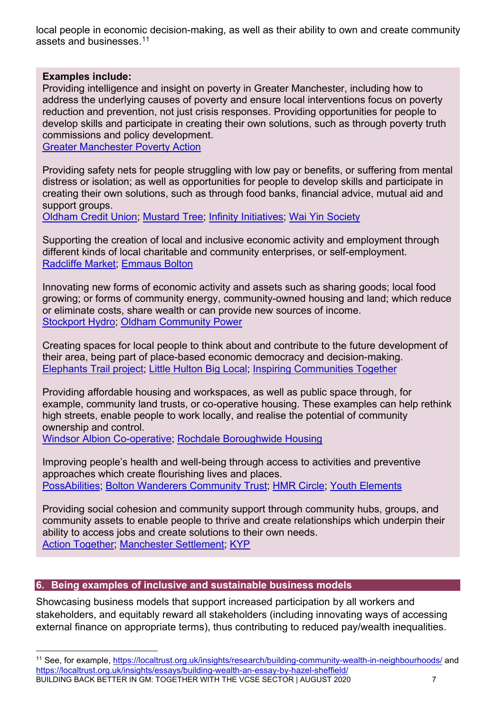local people in economic decision-making, as well as their ability to own and create community assets and businesses.[11](#page-6-0)

#### **Examples include:**

Providing intelligence and insight on poverty in Greater Manchester, including how to address the underlying causes of poverty and ensure local interventions focus on poverty reduction and prevention, not just crisis responses. Providing opportunities for people to develop skills and participate in creating their own solutions, such as through poverty truth commissions and policy development.

[Greater Manchester Poverty](https://www.gmpovertyaction.org/) Action

Providing safety nets for people struggling with low pay or benefits, or suffering from mental distress or isolation; as well as opportunities for people to develop skills and participate in creating their own solutions, such as through food banks, financial advice, mutual aid and support groups.

[Oldham Credit Union;](https://www.oldhamcreditunion.co.uk/) [Mustard](https://mustardtree.org.uk/) Tree; Infinity [Initiatives;](http://www.infinitycic.uk/) Wai Yin [Society](https://www.waiyin.org.uk/)

Supporting the creation of local and inclusive economic activity and employment through different kinds of local charitable and community enterprises, or self-employment. [Radcliffe Market;](https://www.radcliffe.market/) [Emmaus Bolton](https://emmaus.org.uk/bolton/)

Innovating new forms of economic activity and assets such as sharing goods; local food growing; or forms of community energy, community-owned housing and land; which reduce or eliminate costs, share wealth or can provide new sources of income. [Stockport](http://www.stockport-hydro.co.uk/) Hydro; Oldham [Community](http://oldhamcommunitypower.org.uk/) Power

Creating spaces for local people to think about and contribute to the future development of their area, being part of place-based economic democracy and decision-making. Elephants [Trail project;](https://www.unlimitedpotential.org.uk/enterprise/innovation-projects/elephants-trail) Little [Hulton](https://www.salfordcvs.co.uk/little-hulton-big-local) Big Local; [Inspiring Communities Together](https://www.inspiringcommunitiestogether.co.uk/)

Providing affordable housing and workspaces, as well as public space through, for example, community land trusts, or co-operative housing. These examples can help rethink high streets, enable people to work locally, and realise the potential of community ownership and control.

[Windsor Albion Co-operative;](http://www.windsoralbion.co.uk/) [Rochdale Boroughwide Housing](https://www.rbh.org.uk/)

Improving people's health and well-being through access to activities and preventive approaches which create flourishing lives and places. [PossAbilities;](https://possabilities.org.uk/) [Bolton Wanderers Community Trust;](https://bwct.org.uk/) [HMR Circle;](https://hmrcircle.org.uk/) [Youth Elements](https://www.youthelements.org.uk/)

Providing social cohesion and community support through community hubs, groups, and community assets to enable people to thrive and create relationships which underpin their ability to access jobs and create solutions to their own needs. Action [Together;](https://www.actiontogether.org.uk/) [Manchester Settlement;](https://www.manchestersettlement.org.uk/) [KYP](http://www.kyp.org.uk/)

#### **6. Being examples of inclusive and sustainable business models**

Showcasing business models that support increased participation by all workers and stakeholders, and equitably reward all stakeholders (including innovating ways of accessing external finance on appropriate terms), thus contributing to reduced pay/wealth inequalities.

<span id="page-6-0"></span>BUILDING BACK BETTER IN GM: TOGETHER WITH THE VCSE SECTOR | AUGUST 2020 7 11 See, for example,<https://localtrust.org.uk/insights/research/building-community-wealth-in-neighbourhoods/> and <https://localtrust.org.uk/insights/essays/building-wealth-an-essay-by-hazel-sheffield/>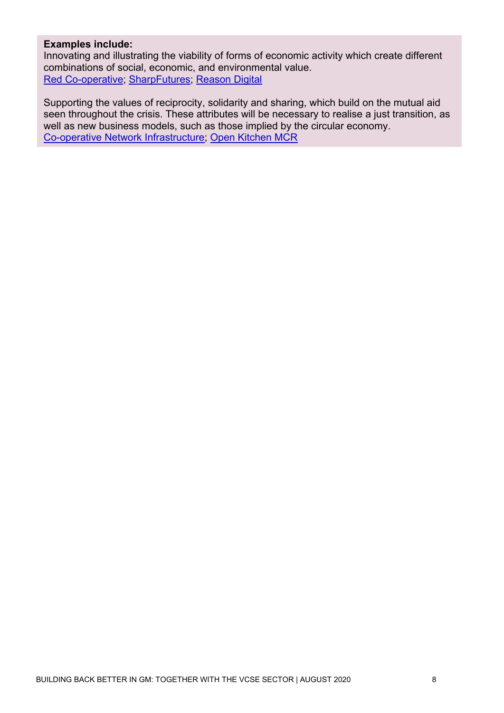#### **Examples include:**

Innovating and illustrating the viability of forms of economic activity which create different combinations of social, economic, and environmental value. [Red Co-operative;](http://red.coop/) [SharpFutures;](https://sharpfutures.org.uk/) [Reason](https://reasondigital.com/) Digital

<span id="page-7-0"></span>Supporting the values of reciprocity, solidarity and sharing, which build on the mutual aid seen throughout the crisis. These attributes will be necessary to realise a just transition, as well as new business models, such as those implied by the circular economy. [Co-operative Network Infrastructure;](https://cni.coop/) Open [Kitchen](https://www.openkitchenmcr.co.uk/) MCR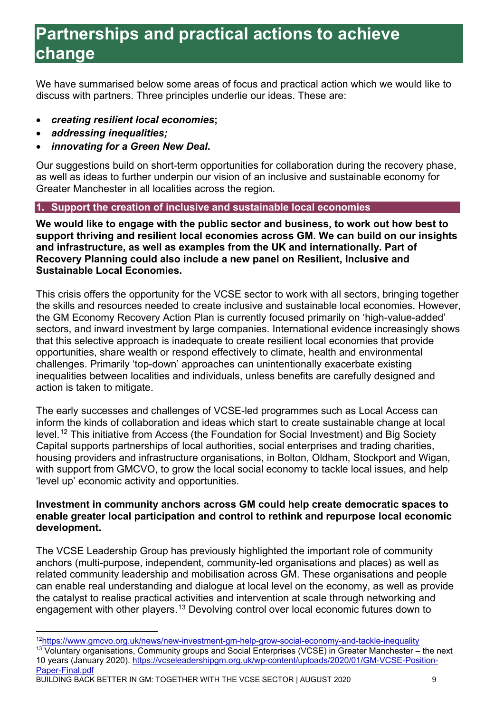# **Partnerships and practical actions to achieve change**

We have summarised below some areas of focus and practical action which we would like to discuss with partners. Three principles underlie our ideas. These are:

- *creating resilient local economies***;**
- *addressing inequalities;*
- *innovating for a Green New Deal***.**

Our suggestions build on short-term opportunities for collaboration during the recovery phase, as well as ideas to further underpin our vision of an inclusive and sustainable economy for Greater Manchester in all localities across the region.

#### **1. Support the creation of inclusive and sustainable local economies**

**We would like to engage with the public sector and business, to work out how best to support thriving and resilient local economies across GM. We can build on our insights and infrastructure, as well as examples from the UK and internationally. Part of Recovery Planning could also include a new panel on Resilient, Inclusive and Sustainable Local Economies.**

This crisis offers the opportunity for the VCSE sector to work with all sectors, bringing together the skills and resources needed to create inclusive and sustainable local economies. However, the GM Economy Recovery Action Plan is currently focused primarily on 'high-value-added' sectors, and inward investment by large companies. International evidence increasingly shows that this selective approach is inadequate to create resilient local economies that provide opportunities, share wealth or respond effectively to climate, health and environmental challenges. Primarily 'top-down' approaches can unintentionally exacerbate existing inequalities between localities and individuals, unless benefits are carefully designed and action is taken to mitigate.

The early successes and challenges of VCSE-led programmes such as Local Access can inform the kinds of collaboration and ideas which start to create sustainable change at local level.[12](#page-8-0) This initiative from Access (the Foundation for Social Investment) and Big Society Capital supports partnerships of local authorities, social enterprises and trading charities, housing providers and infrastructure organisations, in Bolton, Oldham, Stockport and Wigan, with support from GMCVO, to grow the local social economy to tackle local issues, and help 'level up' economic activity and opportunities.

#### **Investment in community anchors across GM could help create democratic spaces to enable greater local participation and control to rethink and repurpose local economic development.**

The VCSE Leadership Group has previously highlighted the important role of community anchors (multi-purpose, independent, community-led organisations and places) as well as related community leadership and mobilisation across GM. These organisations and people can enable real understanding and dialogue at local level on the economy, as well as provide the catalyst to realise practical activities and intervention at scale through networking and engagement with other players.<sup>[13](#page-8-1)</sup> Devolving control over local economic futures down to

BUILDING BACK BETTER IN GM: TOGETHER WITH THE VCSE SECTOR | AUGUST 2020 9

<span id="page-8-1"></span><span id="page-8-0"></span> <sup>1</sup>[2https://www.gmcvo.org.uk/news/new-investment-gm-help-grow-social-economy-and-tackle-inequality](https://www.gmcvo.org.uk/news/new-investment-gm-help-grow-social-economy-and-tackle-inequality) <sup>13</sup> Voluntary organisations, Community groups and Social Enterprises (VCSE) in Greater Manchester – the next 10 years (January 2020). [https://vcseleadershipgm.org.uk/wp-content/uploads/2020/01/GM-VCSE-Position-](https://vcseleadershipgm.org.uk/wp-content/uploads/2020/01/GM-VCSE-Position-Paper-Final.pdf)[Paper-Final.pdf](https://vcseleadershipgm.org.uk/wp-content/uploads/2020/01/GM-VCSE-Position-Paper-Final.pdf)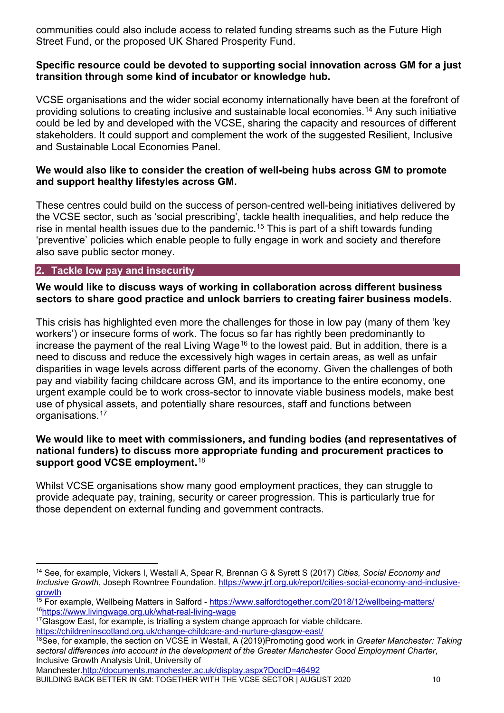communities could also include access to related funding streams such as the Future High Street Fund, or the proposed UK Shared Prosperity Fund.

#### **Specific resource could be devoted to supporting social innovation across GM for a just transition through some kind of incubator or knowledge hub.**

VCSE organisations and the wider social economy internationally have been at the forefront of providing solutions to creating inclusive and sustainable local economies.[14](#page-9-0) Any such initiative could be led by and developed with the VCSE, sharing the capacity and resources of different stakeholders. It could support and complement the work of the suggested Resilient, Inclusive and Sustainable Local Economies Panel.

#### **We would also like to consider the creation of well-being hubs across GM to promote and support healthy lifestyles across GM.**

These centres could build on the success of person-centred well-being initiatives delivered by the VCSE sector, such as 'social prescribing', tackle health inequalities, and help reduce the rise in mental health issues due to the pandemic.<sup>[15](#page-9-1)</sup> This is part of a shift towards funding 'preventive' policies which enable people to fully engage in work and society and therefore also save public sector money.

#### **2. Tackle low pay and insecurity**

#### **We would like to discuss ways of working in collaboration across different business sectors to share good practice and unlock barriers to creating fairer business models.**

This crisis has highlighted even more the challenges for those in low pay (many of them 'key workers') or insecure forms of work. The focus so far has rightly been predominantly to increase the payment of the real Living Wage<sup>[16](#page-9-2)</sup> to the lowest paid. But in addition, there is a need to discuss and reduce the excessively high wages in certain areas, as well as unfair disparities in wage levels across different parts of the economy. Given the challenges of both pay and viability facing childcare across GM, and its importance to the entire economy, one urgent example could be to work cross-sector to innovate viable business models, make best use of physical assets, and potentially share resources, staff and functions between organisations.[17](#page-9-3)

#### **We would like to meet with commissioners, and funding bodies (and representatives of national funders) to discuss more appropriate funding and procurement practices to support good VCSE employment.**[18](#page-9-4)

Whilst VCSE organisations show many good employment practices, they can struggle to provide adequate pay, training, security or career progression. This is particularly true for those dependent on external funding and government contracts.

Manchester[.http://documents.manchester.ac.uk/display.aspx?DocID=46492](http://documents.manchester.ac.uk/display.aspx?DocID=46492)

BUILDING BACK BETTER IN GM: TOGETHER WITH THE VCSE SECTOR | AUGUST 2020 10

<span id="page-9-0"></span> <sup>14</sup> See, for example, Vickers I, Westall A, Spear R, Brennan G & Syrett S (2017) *Cities, Social Economy and Inclusive Growth*, Joseph Rowntree Foundation. [https://www.jrf.org.uk/report/cities-social-economy-and-inclusive](https://www.jrf.org.uk/report/cities-social-economy-and-inclusive-growth)[growth](https://www.jrf.org.uk/report/cities-social-economy-and-inclusive-growth)

<span id="page-9-1"></span><sup>&</sup>lt;sup>15</sup> For example, Wellbeing Matters in Salford - <https://www.salfordtogether.com/2018/12/wellbeing-matters/> 1[6https://www.livingwage.org.uk/what-real-living-wage](https://www.livingwage.org.uk/what-real-living-wage)

<span id="page-9-3"></span><span id="page-9-2"></span><sup>&</sup>lt;sup>17</sup>Glasgow East, for example, is trialling a system change approach for viable childcare. <https://childreninscotland.org.uk/change-childcare-and-nurture-glasgow-east/>

<span id="page-9-4"></span><sup>18</sup>See, for example, the section on VCSE in Westall, A (2019)Promoting good work in *Greater Manchester: Taking sectoral differences into account in the development of the Greater Manchester Good Employment Charter*, Inclusive Growth Analysis Unit, University of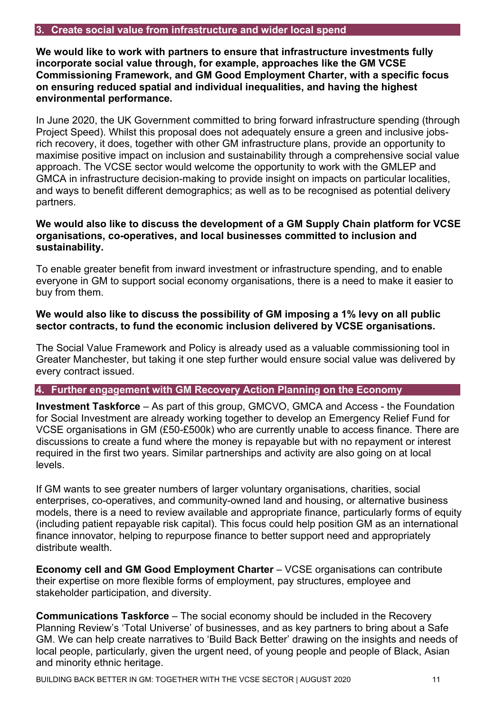#### **3. Create social value from infrastructure and wider local spend**

**We would like to work with partners to ensure that infrastructure investments fully incorporate social value through, for example, approaches like the GM VCSE Commissioning Framework, and GM Good Employment Charter, with a specific focus on ensuring reduced spatial and individual inequalities, and having the highest environmental performance.**

In June 2020, the UK Government committed to bring forward infrastructure spending (through Project Speed). Whilst this proposal does not adequately ensure a green and inclusive jobsrich recovery, it does, together with other GM infrastructure plans, provide an opportunity to maximise positive impact on inclusion and sustainability through a comprehensive social value approach. The VCSE sector would welcome the opportunity to work with the GMLEP and GMCA in infrastructure decision-making to provide insight on impacts on particular localities, and ways to benefit different demographics; as well as to be recognised as potential delivery partners.

#### **We would also like to discuss the development of a GM Supply Chain platform for VCSE organisations, co-operatives, and local businesses committed to inclusion and sustainability.**

To enable greater benefit from inward investment or infrastructure spending, and to enable everyone in GM to support social economy organisations, there is a need to make it easier to buy from them.

#### **We would also like to discuss the possibility of GM imposing a 1% levy on all public sector contracts, to fund the economic inclusion delivered by VCSE organisations.**

The Social Value Framework and Policy is already used as a valuable commissioning tool in Greater Manchester, but taking it one step further would ensure social value was delivered by every contract issued.

#### **4. Further engagement with GM Recovery Action Planning on the Economy**

**Investment Taskforce** – As part of this group, GMCVO, GMCA and Access - the Foundation for Social Investment are already working together to develop an Emergency Relief Fund for VCSE organisations in GM (£50-£500k) who are currently unable to access finance. There are discussions to create a fund where the money is repayable but with no repayment or interest required in the first two years. Similar partnerships and activity are also going on at local levels.

If GM wants to see greater numbers of larger voluntary organisations, charities, social enterprises, co-operatives, and community-owned land and housing, or alternative business models, there is a need to review available and appropriate finance, particularly forms of equity (including patient repayable risk capital). This focus could help position GM as an international finance innovator, helping to repurpose finance to better support need and appropriately distribute wealth.

**Economy cell and GM Good Employment Charter – VCSE organisations can contribute** their expertise on more flexible forms of employment, pay structures, employee and stakeholder participation, and diversity.

**Communications Taskforce** – The social economy should be included in the Recovery Planning Review's 'Total Universe' of businesses, and as key partners to bring about a Safe GM. We can help create narratives to 'Build Back Better' drawing on the insights and needs of local people, particularly, given the urgent need, of young people and people of Black, Asian and minority ethnic heritage.

BUILDING BACK BETTER IN GM: TOGETHER WITH THE VCSE SECTOR | AUGUST 2020 11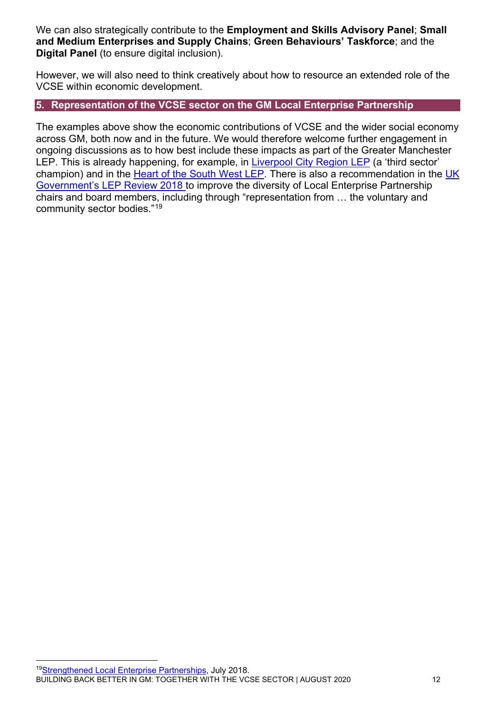We can also strategically contribute to the **Employment and Skills Advisory Panel**; **Small and Medium Enterprises and Supply Chains**; **Green Behaviours' Taskforce**; and the **Digital Panel** (to ensure digital inclusion).

However, we will also need to think creatively about how to resource an extended role of the VCSE within economic development.

#### **5. Representation of the VCSE sector on the GM Local Enterprise Partnership**

<span id="page-11-0"></span>The examples above show the economic contributions of VCSE and the wider social economy across GM, both now and in the future. We would therefore welcome further engagement in ongoing discussions as to how best include these impacts as part of the Greater Manchester LEP. This is already happening, for example, in [Liverpool City Region LEP](https://www.liverpoollep.org/) (a 'third sector' champion) and in the [Heart of the South West LEP.](https://heartofswlep.co.uk/) There is also a recommendation in the [UK](https://www.gov.uk/government/publications/strengthened-local-enterprise-partnerships)  [Government's LEP Review 2018](https://www.gov.uk/government/publications/strengthened-local-enterprise-partnerships) to improve the diversity of Local Enterprise Partnership chairs and board members, including through "representation from … the voluntary and community sector bodies."[19](#page-11-1)

<span id="page-11-1"></span>BUILDING BACK BETTER IN GM: TOGETHER WITH THE VCSE SECTOR | AUGUST 2020 12 1[9Strengthened Local Enterprise](https://www.gov.uk/government/publications/strengthened-local-enterprise-partnerships) Partnerships, July 2018.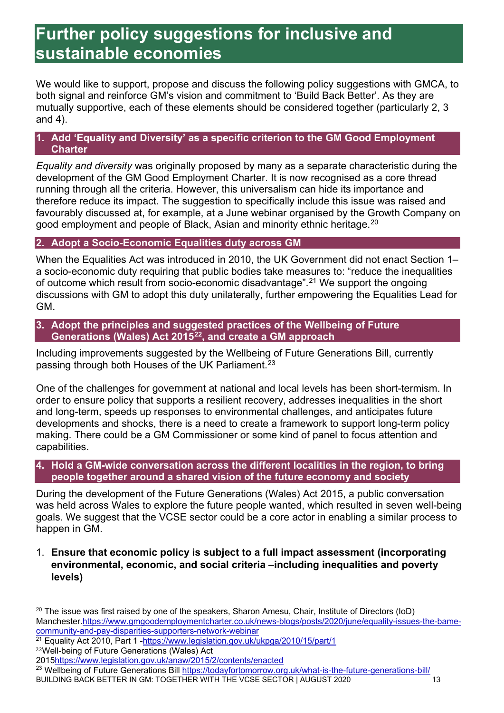## **Further policy suggestions for inclusive and sustainable economies**

We would like to support, propose and discuss the following policy suggestions with GMCA, to both signal and reinforce GM's vision and commitment to 'Build Back Better'. As they are mutually supportive, each of these elements should be considered together (particularly 2, 3 and 4).

#### **1. Add 'Equality and Diversity' as a specific criterion to the GM Good Employment Charter**

*Equality and diversity* was originally proposed by many as a separate characteristic during the development of the GM Good Employment Charter. It is now recognised as a core thread running through all the criteria. However, this universalism can hide its importance and therefore reduce its impact. The suggestion to specifically include this issue was raised and favourably discussed at, for example, at a June webinar organised by the Growth Company on good employment and people of Black, Asian and minority ethnic heritage. $^{\mathrm{20}}$  $^{\mathrm{20}}$  $^{\mathrm{20}}$ 

#### **2. Adopt a Socio-Economic Equalities duty across GM**

When the Equalities Act was introduced in 2010, the UK Government did not enact Section 1– a socio-economic duty requiring that public bodies take measures to: "reduce the inequalities of outcome which result from socio-economic disadvantage".[21](#page-12-1) We support the ongoing discussions with GM to adopt this duty unilaterally, further empowering the Equalities Lead for GM.

**3. Adopt the principles and suggested practices of the Wellbeing of Future Generations (Wales) Act 2015[22,](#page-12-2) and create a GM approach**

Including improvements suggested by the Wellbeing of Future Generations Bill, currently passing through both Houses of the UK Parliament.<sup>[23](#page-12-3)</sup>

One of the challenges for government at national and local levels has been short-termism. In order to ensure policy that supports a resilient recovery, addresses inequalities in the short and long-term, speeds up responses to environmental challenges, and anticipates future developments and shocks, there is a need to create a framework to support long-term policy making. There could be a GM Commissioner or some kind of panel to focus attention and capabilities.

#### **4. Hold a GM-wide conversation across the different localities in the region, to bring people together around a shared vision of the future economy and society**

During the development of the Future Generations (Wales) Act 2015, a public conversation was held across Wales to explore the future people wanted, which resulted in seven well-being goals. We suggest that the VCSE sector could be a core actor in enabling a similar process to happen in GM.

1. **Ensure that economic policy is subject to a full impact assessment (incorporating environmental, economic, and social criteria** –**including inequalities and poverty levels)**

<span id="page-12-1"></span><sup>21</sup> Equality Act 2010, Part 1 [-https://www.legislation.gov.uk/ukpga/2010/15/part/1](https://www.legislation.gov.uk/ukpga/2010/15/part/1) <sup>22</sup>Well-being of Future Generations (Wales) Act

<span id="page-12-3"></span>BUILDING BACK BETTER IN GM: TOGETHER WITH THE VCSE SECTOR | AUGUST 2020 13 <sup>23</sup> Wellbeing of Future Generations Bill<https://todayfortomorrow.org.uk/what-is-the-future-generations-bill/>

<span id="page-12-0"></span> $20$  The issue was first raised by one of the speakers, Sharon Amesu, Chair, Institute of Directors (IoD) Manchester[.https://www.gmgoodemploymentcharter.co.uk/news-blogs/posts/2020/june/equality-issues-the-bame](https://www.gmgoodemploymentcharter.co.uk/news-blogs/posts/2020/june/equality-issues-the-bame-community-and-pay-disparities-supporters-network-webinar)[community-and-pay-disparities-supporters-network-webinar](https://www.gmgoodemploymentcharter.co.uk/news-blogs/posts/2020/june/equality-issues-the-bame-community-and-pay-disparities-supporters-network-webinar)

<span id="page-12-2"></span><sup>201</sup>[5https://www.legislation.gov.uk/anaw/2015/2/contents/enacted](https://www.legislation.gov.uk/anaw/2015/2/contents/enacted)